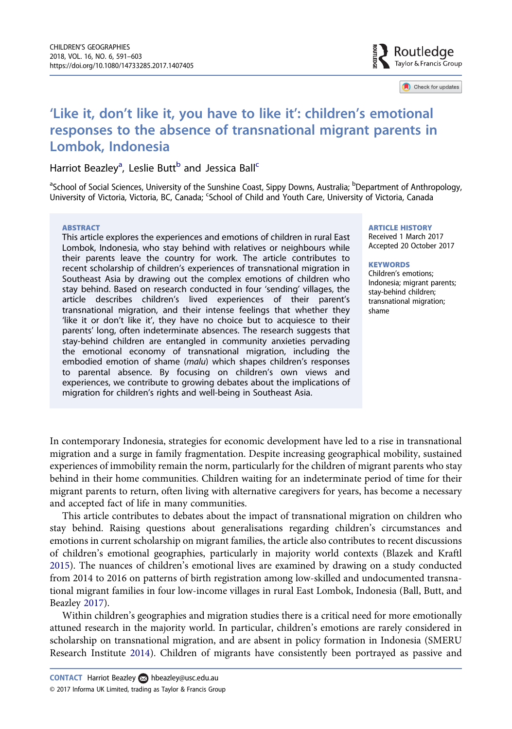

Check for updates

# <span id="page-0-0"></span>'Like it, don't like it, you have to like it': children's emotional responses to the absence of transnational migrant parents in Lombok, Indonesia

# Harriot Beazley<sup>a</sup>, Leslie Butt<sup>b</sup> and Jessica Ball<sup>c</sup>

<sup>a</sup>School of Social Sciences, University of the Sunshine Coast, Sippy Downs, Australia; <sup>b</sup>Department of Anthropology, University of Victoria, Victoria, BC, Canada; 'School of Child and Youth Care, University of Victoria, Canada

#### ABSTRACT

This article explores the experiences and emotions of children in rural East Lombok, Indonesia, who stay behind with relatives or neighbours while their parents leave the country for work. The article contributes to recent scholarship of children's experiences of transnational migration in Southeast Asia by drawing out the complex emotions of children who stay behind. Based on research conducted in four 'sending' villages, the article describes children's lived experiences of their parent's transnational migration, and their intense feelings that whether they 'like it or don't like it', they have no choice but to acquiesce to their parents' long, often indeterminate absences. The research suggests that stay-behind children are entangled in community anxieties pervading the emotional economy of transnational migration, including the embodied emotion of shame (malu) which shapes children's responses to parental absence. By focusing on children's own views and experiences, we contribute to growing debates about the implications of migration for children's rights and well-being in Southeast Asia.

ARTICLE HISTORY Received 1 March 2017 Accepted 20 October 2017

#### **KEYWORDS**

Children's emotions; Indonesia; migrant parents; stay-behind children; transnational migration; shame

In contemporary Indonesia, strategies for economic development have led to a rise in transnational migration and a surge in family fragmentation. Despite increasing geographical mobility, sustained experiences of immobility remain the norm, particularly for the children of migrant parents who stay behind in their home communities. Children waiting for an indeterminate period of time for their migrant parents to return, often living with alternative caregivers for years, has become a necessary and accepted fact of life in many communities.

This article contributes to debates about the impact of transnational migration on children who stay behind. Raising questions about generalisations regarding children's circumstances and emotions in current scholarship on migrant families, the article also contributes to recent discussions of children's emotional geographies, particularly in majority world contexts (Blazek and Kraftl [2015](#page-11-0)). The nuances of children's emotional lives are examined by drawing on a study conducted from 2014 to 2016 on patterns of birth registration among low-skilled and undocumented transnational migrant families in four low-income villages in rural East Lombok, Indonesia (Ball, Butt, and Beazley [2017\)](#page-11-0).

Within children's geographies and migration studies there is a critical need for more emotionally attuned research in the majority world. In particular, children's emotions are rarely considered in scholarship on transnational migration, and are absent in policy formation in Indonesia (SMERU Research Institute [2014\)](#page-12-0). Children of migrants have consistently been portrayed as passive and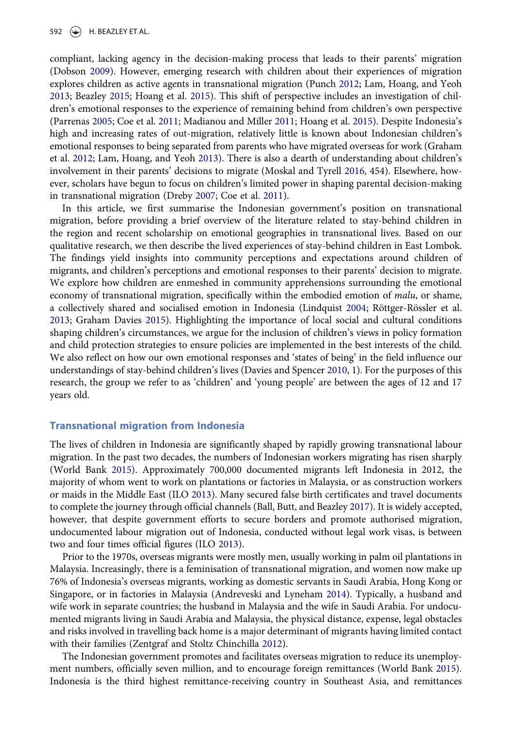<span id="page-1-0"></span>compliant, lacking agency in the decision-making process that leads to their parents' migration (Dobson [2009\)](#page-11-0). However, emerging research with children about their experiences of migration explores children as active agents in transnational migration (Punch [2012;](#page-12-0) Lam, Hoang, and Yeoh [2013](#page-11-0); Beazley [2015;](#page-11-0) Hoang et al. [2015\)](#page-11-0). This shift of perspective includes an investigation of children's emotional responses to the experience of remaining behind from children's own perspective (Parrenas [2005](#page-11-0); Coe et al. [2011;](#page-11-0) Madianou and Miller [2011](#page-11-0); Hoang et al. [2015](#page-11-0)). Despite Indonesia's high and increasing rates of out-migration, relatively little is known about Indonesian children's emotional responses to being separated from parents who have migrated overseas for work (Graham et al. [2012](#page-11-0); Lam, Hoang, and Yeoh [2013](#page-11-0)). There is also a dearth of understanding about children's involvement in their parents' decisions to migrate (Moskal and Tyrell [2016](#page-11-0), 454). Elsewhere, however, scholars have begun to focus on children's limited power in shaping parental decision-making in transnational migration (Dreby [2007;](#page-11-0) Coe et al. [2011](#page-11-0)).

In this article, we first summarise the Indonesian government's position on transnational migration, before providing a brief overview of the literature related to stay-behind children in the region and recent scholarship on emotional geographies in transnational lives. Based on our qualitative research, we then describe the lived experiences of stay-behind children in East Lombok. The findings yield insights into community perceptions and expectations around children of migrants, and children's perceptions and emotional responses to their parents' decision to migrate. We explore how children are enmeshed in community apprehensions surrounding the emotional economy of transnational migration, specifically within the embodied emotion of *malu*, or shame, a collectively shared and socialised emotion in Indonesia (Lindquist [2004;](#page-11-0) Röttger-Rössler et al. [2013](#page-12-0); Graham Davies [2015\)](#page-11-0). Highlighting the importance of local social and cultural conditions shaping children's circumstances, we argue for the inclusion of children's views in policy formation and child protection strategies to ensure policies are implemented in the best interests of the child. We also reflect on how our own emotional responses and 'states of being' in the field influence our understandings of stay-behind children's lives (Davies and Spencer [2010,](#page-11-0) 1). For the purposes of this research, the group we refer to as 'children' and 'young people' are between the ages of 12 and 17 years old.

# Transnational migration from Indonesia

The lives of children in Indonesia are significantly shaped by rapidly growing transnational labour migration. In the past two decades, the numbers of Indonesian workers migrating has risen sharply (World Bank [2015\)](#page-12-0). Approximately 700,000 documented migrants left Indonesia in 2012, the majority of whom went to work on plantations or factories in Malaysia, or as construction workers or maids in the Middle East (ILO [2013\)](#page-11-0). Many secured false birth certificates and travel documents to complete the journey through official channels (Ball, Butt, and Beazley [2017](#page-11-0)). It is widely accepted, however, that despite government efforts to secure borders and promote authorised migration, undocumented labour migration out of Indonesia, conducted without legal work visas, is between two and four times official figures (ILO [2013\)](#page-11-0).

Prior to the 1970s, overseas migrants were mostly men, usually working in palm oil plantations in Malaysia. Increasingly, there is a feminisation of transnational migration, and women now make up 76% of Indonesia's overseas migrants, working as domestic servants in Saudi Arabia, Hong Kong or Singapore, or in factories in Malaysia (Andreveski and Lyneham [2014\)](#page-11-0). Typically, a husband and wife work in separate countries; the husband in Malaysia and the wife in Saudi Arabia. For undocumented migrants living in Saudi Arabia and Malaysia, the physical distance, expense, legal obstacles and risks involved in travelling back home is a major determinant of migrants having limited contact with their families (Zentgraf and Stoltz Chinchilla [2012](#page-12-0)).

The Indonesian government promotes and facilitates overseas migration to reduce its unemployment numbers, officially seven million, and to encourage foreign remittances (World Bank [2015](#page-12-0)). Indonesia is the third highest remittance-receiving country in Southeast Asia, and remittances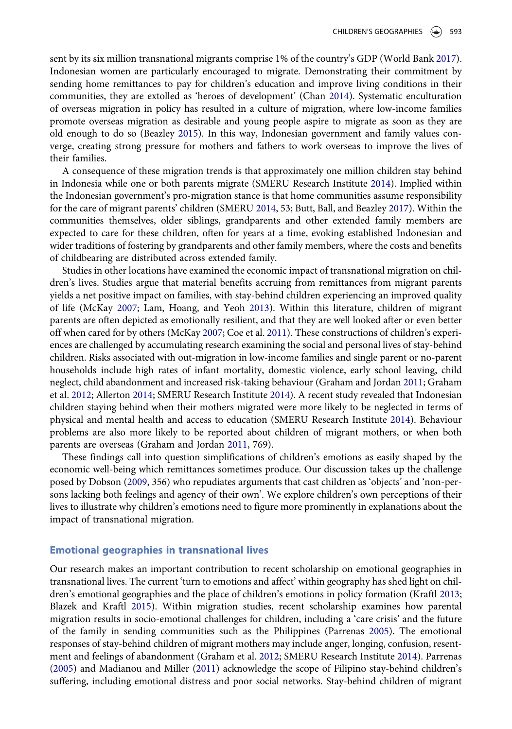<span id="page-2-0"></span>sent by its six million transnational migrants comprise 1% of the country's GDP (World Bank [2017\)](#page-12-0). Indonesian women are particularly encouraged to migrate. Demonstrating their commitment by sending home remittances to pay for children's education and improve living conditions in their communities, they are extolled as 'heroes of development' (Chan [2014](#page-11-0)). Systematic enculturation of overseas migration in policy has resulted in a culture of migration, where low-income families promote overseas migration as desirable and young people aspire to migrate as soon as they are old enough to do so (Beazley [2015\)](#page-11-0). In this way, Indonesian government and family values converge, creating strong pressure for mothers and fathers to work overseas to improve the lives of their families.

A consequence of these migration trends is that approximately one million children stay behind in Indonesia while one or both parents migrate (SMERU Research Institute [2014](#page-12-0)). Implied within the Indonesian government's pro-migration stance is that home communities assume responsibility for the care of migrant parents' children (SMERU [2014,](#page-12-0) 53; Butt, Ball, and Beazley [2017\)](#page-11-0). Within the communities themselves, older siblings, grandparents and other extended family members are expected to care for these children, often for years at a time, evoking established Indonesian and wider traditions of fostering by grandparents and other family members, where the costs and benefits of childbearing are distributed across extended family.

Studies in other locations have examined the economic impact of transnational migration on children's lives. Studies argue that material benefits accruing from remittances from migrant parents yields a net positive impact on families, with stay-behind children experiencing an improved quality of life (McKay [2007](#page-11-0); Lam, Hoang, and Yeoh [2013\)](#page-11-0). Within this literature, children of migrant parents are often depicted as emotionally resilient, and that they are well looked after or even better off when cared for by others (McKay [2007](#page-11-0); Coe et al. [2011](#page-11-0)). These constructions of children's experiences are challenged by accumulating research examining the social and personal lives of stay-behind children. Risks associated with out-migration in low-income families and single parent or no-parent households include high rates of infant mortality, domestic violence, early school leaving, child neglect, child abandonment and increased risk-taking behaviour (Graham and Jordan [2011;](#page-11-0) Graham et al. [2012](#page-11-0); Allerton [2014](#page-10-0); SMERU Research Institute [2014](#page-12-0)). A recent study revealed that Indonesian children staying behind when their mothers migrated were more likely to be neglected in terms of physical and mental health and access to education (SMERU Research Institute [2014](#page-12-0)). Behaviour problems are also more likely to be reported about children of migrant mothers, or when both parents are overseas (Graham and Jordan [2011](#page-11-0), 769).

These findings call into question simplifications of children's emotions as easily shaped by the economic well-being which remittances sometimes produce. Our discussion takes up the challenge posed by Dobson ([2009,](#page-11-0) 356) who repudiates arguments that cast children as 'objects' and 'non-persons lacking both feelings and agency of their own'. We explore children's own perceptions of their lives to illustrate why children's emotions need to figure more prominently in explanations about the impact of transnational migration.

# Emotional geographies in transnational lives

Our research makes an important contribution to recent scholarship on emotional geographies in transnational lives. The current 'turn to emotions and affect' within geography has shed light on children's emotional geographies and the place of children's emotions in policy formation (Kraftl [2013](#page-11-0); Blazek and Kraftl [2015\)](#page-11-0). Within migration studies, recent scholarship examines how parental migration results in socio-emotional challenges for children, including a 'care crisis' and the future of the family in sending communities such as the Philippines (Parrenas [2005\)](#page-11-0). The emotional responses of stay-behind children of migrant mothers may include anger, longing, confusion, resentment and feelings of abandonment (Graham et al. [2012](#page-11-0); SMERU Research Institute [2014](#page-12-0)). Parrenas [\(2005\)](#page-11-0) and Madianou and Miller [\(2011](#page-11-0)) acknowledge the scope of Filipino stay-behind children's suffering, including emotional distress and poor social networks. Stay-behind children of migrant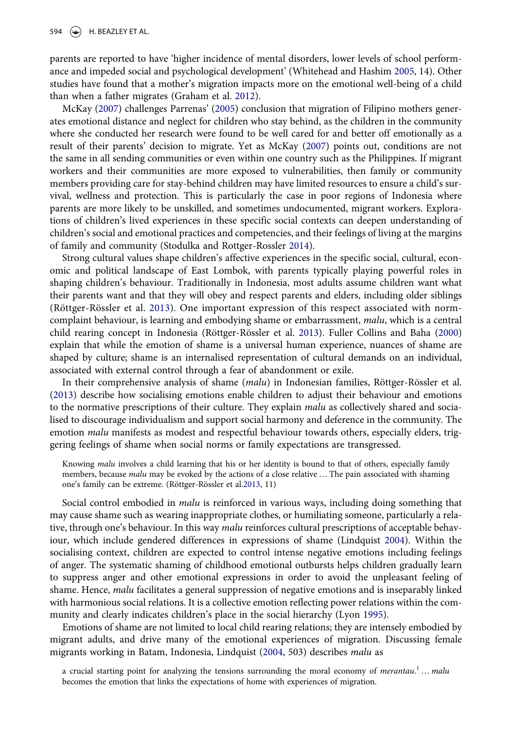<span id="page-3-0"></span>parents are reported to have 'higher incidence of mental disorders, lower levels of school performance and impeded social and psychological development' (Whitehead and Hashim [2005](#page-12-0), 14). Other studies have found that a mother's migration impacts more on the emotional well-being of a child than when a father migrates (Graham et al. [2012\)](#page-11-0).

McKay ([2007](#page-11-0)) challenges Parrenas' [\(2005](#page-11-0)) conclusion that migration of Filipino mothers generates emotional distance and neglect for children who stay behind, as the children in the community where she conducted her research were found to be well cared for and better off emotionally as a result of their parents' decision to migrate. Yet as McKay ([2007](#page-11-0)) points out, conditions are not the same in all sending communities or even within one country such as the Philippines. If migrant workers and their communities are more exposed to vulnerabilities, then family or community members providing care for stay-behind children may have limited resources to ensure a child's survival, wellness and protection. This is particularly the case in poor regions of Indonesia where parents are more likely to be unskilled, and sometimes undocumented, migrant workers. Explorations of children's lived experiences in these specific social contexts can deepen understanding of children's social and emotional practices and competencies, and their feelings of living at the margins of family and community (Stodulka and Rottger-Rossler [2014\)](#page-12-0).

Strong cultural values shape children's affective experiences in the specific social, cultural, economic and political landscape of East Lombok, with parents typically playing powerful roles in shaping children's behaviour. Traditionally in Indonesia, most adults assume children want what their parents want and that they will obey and respect parents and elders, including older siblings (Röttger-Rössler et al. [2013\)](#page-12-0). One important expression of this respect associated with normcomplaint behaviour, is learning and embodying shame or embarrassment, malu, which is a central child rearing concept in Indonesia (Röttger-Rössler et al. [2013](#page-12-0)). Fuller Collins and Baha ([2000\)](#page-11-0) explain that while the emotion of shame is a universal human experience, nuances of shame are shaped by culture; shame is an internalised representation of cultural demands on an individual, associated with external control through a fear of abandonment or exile.

In their comprehensive analysis of shame *(malu)* in Indonesian families, Röttger-Rössler et al. [\(2013\)](#page-12-0) describe how socialising emotions enable children to adjust their behaviour and emotions to the normative prescriptions of their culture. They explain *malu* as collectively shared and socialised to discourage individualism and support social harmony and deference in the community. The emotion *malu* manifests as modest and respectful behaviour towards others, especially elders, triggering feelings of shame when social norms or family expectations are transgressed.

Knowing *malu* involves a child learning that his or her identity is bound to that of others, especially family members, because malu may be evoked by the actions of a close relative ... The pain associated with shaming one's family can be extreme. (Röttger-Rössler et al.[2013,](#page-12-0) 11)

Social control embodied in malu is reinforced in various ways, including doing something that may cause shame such as wearing inappropriate clothes, or humiliating someone, particularly a relative, through one's behaviour. In this way malu reinforces cultural prescriptions of acceptable behaviour, which include gendered differences in expressions of shame (Lindquist [2004\)](#page-11-0). Within the socialising context, children are expected to control intense negative emotions including feelings of anger. The systematic shaming of childhood emotional outbursts helps children gradually learn to suppress anger and other emotional expressions in order to avoid the unpleasant feeling of shame. Hence, *malu* facilitates a general suppression of negative emotions and is inseparably linked with harmonious social relations. It is a collective emotion reflecting power relations within the community and clearly indicates children's place in the social hierarchy (Lyon [1995](#page-11-0)).

Emotions of shame are not limited to local child rearing relations; they are intensely embodied by migrant adults, and drive many of the emotional experiences of migration. Discussing female migrants working in Batam, Indonesia, Lindquist [\(2004,](#page-11-0) 503) describes malu as

a crucial starting point for analyzing the tensions surrounding the moral economy of *merantau.*<sup>[1](#page-10-0)</sup>... malu becomes the emotion that links the expectations of home with experiences of migration.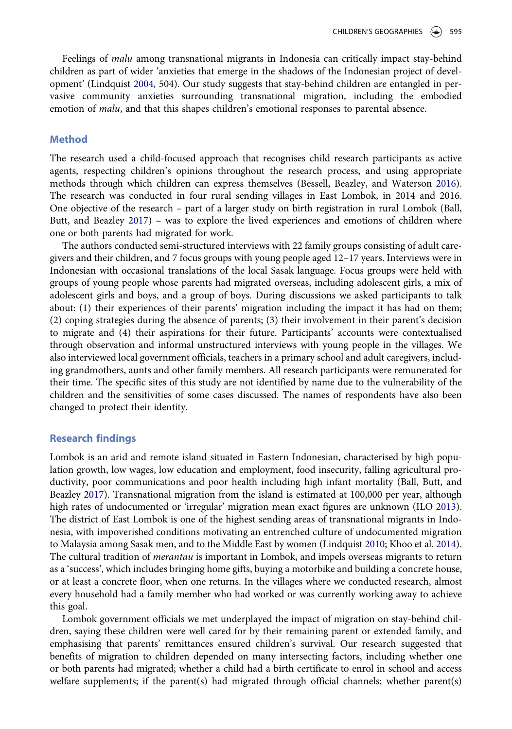<span id="page-4-0"></span>Feelings of malu among transnational migrants in Indonesia can critically impact stay-behind children as part of wider 'anxieties that emerge in the shadows of the Indonesian project of development' (Lindquist [2004,](#page-11-0) 504). Our study suggests that stay-behind children are entangled in pervasive community anxieties surrounding transnational migration, including the embodied emotion of *malu*, and that this shapes children's emotional responses to parental absence.

# Method

The research used a child-focused approach that recognises child research participants as active agents, respecting children's opinions throughout the research process, and using appropriate methods through which children can express themselves (Bessell, Beazley, and Waterson [2016\)](#page-11-0). The research was conducted in four rural sending villages in East Lombok, in 2014 and 2016. One objective of the research – part of a larger study on birth registration in rural Lombok (Ball, Butt, and Beazley [2017\)](#page-11-0) – was to explore the lived experiences and emotions of children where one or both parents had migrated for work.

The authors conducted semi-structured interviews with 22 family groups consisting of adult caregivers and their children, and 7 focus groups with young people aged 12–17 years. Interviews were in Indonesian with occasional translations of the local Sasak language. Focus groups were held with groups of young people whose parents had migrated overseas, including adolescent girls, a mix of adolescent girls and boys, and a group of boys. During discussions we asked participants to talk about: (1) their experiences of their parents' migration including the impact it has had on them; (2) coping strategies during the absence of parents; (3) their involvement in their parent's decision to migrate and (4) their aspirations for their future. Participants' accounts were contextualised through observation and informal unstructured interviews with young people in the villages. We also interviewed local government officials, teachers in a primary school and adult caregivers, including grandmothers, aunts and other family members. All research participants were remunerated for their time. The specific sites of this study are not identified by name due to the vulnerability of the children and the sensitivities of some cases discussed. The names of respondents have also been changed to protect their identity.

#### Research findings

Lombok is an arid and remote island situated in Eastern Indonesian, characterised by high population growth, low wages, low education and employment, food insecurity, falling agricultural productivity, poor communications and poor health including high infant mortality (Ball, Butt, and Beazley [2017](#page-11-0)). Transnational migration from the island is estimated at 100,000 per year, although high rates of undocumented or 'irregular' migration mean exact figures are unknown (ILO [2013\)](#page-11-0). The district of East Lombok is one of the highest sending areas of transnational migrants in Indonesia, with impoverished conditions motivating an entrenched culture of undocumented migration to Malaysia among Sasak men, and to the Middle East by women (Lindquist [2010;](#page-11-0) Khoo et al. [2014\)](#page-11-0). The cultural tradition of *merantau* is important in Lombok, and impels overseas migrants to return as a 'success', which includes bringing home gifts, buying a motorbike and building a concrete house, or at least a concrete floor, when one returns. In the villages where we conducted research, almost every household had a family member who had worked or was currently working away to achieve this goal.

Lombok government officials we met underplayed the impact of migration on stay-behind children, saying these children were well cared for by their remaining parent or extended family, and emphasising that parents' remittances ensured children's survival. Our research suggested that benefits of migration to children depended on many intersecting factors, including whether one or both parents had migrated; whether a child had a birth certificate to enrol in school and access welfare supplements; if the parent(s) had migrated through official channels; whether parent(s)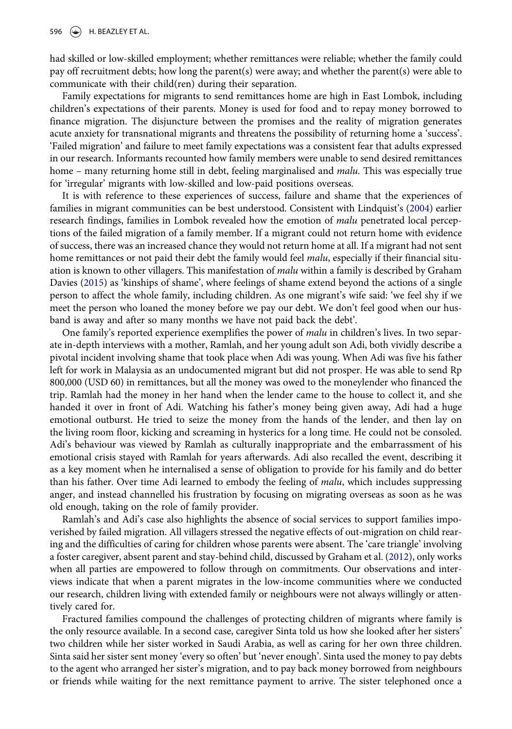had skilled or low-skilled employment; whether remittances were reliable; whether the family could pay off recruitment debts; how long the parent(s) were away; and whether the parent(s) were able to communicate with their child(ren) during their separation.

Family expectations for migrants to send remittances home are high in East Lombok, including children's expectations of their parents. Money is used for food and to repay money borrowed to finance migration. The disjuncture between the promises and the reality of migration generates acute anxiety for transnational migrants and threatens the possibility of returning home a 'success'. 'Failed migration' and failure to meet family expectations was a consistent fear that adults expressed in our research. Informants recounted how family members were unable to send desired remittances home – many returning home still in debt, feeling marginalised and *malu*. This was especially true for 'irregular' migrants with low-skilled and low-paid positions overseas.

It is with reference to these experiences of success, failure and shame that the experiences of families in migrant communities can be best understood. Consistent with Lindquist's ([2004\)](#page-11-0) earlier research findings, families in Lombok revealed how the emotion of malu penetrated local perceptions of the failed migration of a family member. If a migrant could not return home with evidence of success, there was an increased chance they would not return home at all. If a migrant had not sent home remittances or not paid their debt the family would feel malu, especially if their financial situation is known to other villagers. This manifestation of *malu* within a family is described by Graham Davies ([2015\)](#page-11-0) as 'kinships of shame', where feelings of shame extend beyond the actions of a single person to affect the whole family, including children. As one migrant's wife said: 'we feel shy if we meet the person who loaned the money before we pay our debt. We don't feel good when our husband is away and after so many months we have not paid back the debt'.

One family's reported experience exemplifies the power of malu in children's lives. In two separate in-depth interviews with a mother, Ramlah, and her young adult son Adi, both vividly describe a pivotal incident involving shame that took place when Adi was young. When Adi was five his father left for work in Malaysia as an undocumented migrant but did not prosper. He was able to send Rp 800,000 (USD 60) in remittances, but all the money was owed to the moneylender who financed the trip. Ramlah had the money in her hand when the lender came to the house to collect it, and she handed it over in front of Adi. Watching his father's money being given away, Adi had a huge emotional outburst. He tried to seize the money from the hands of the lender, and then lay on the living room floor, kicking and screaming in hysterics for a long time. He could not be consoled. Adi's behaviour was viewed by Ramlah as culturally inappropriate and the embarrassment of his emotional crisis stayed with Ramlah for years afterwards. Adi also recalled the event, describing it as a key moment when he internalised a sense of obligation to provide for his family and do better than his father. Over time Adi learned to embody the feeling of malu, which includes suppressing anger, and instead channelled his frustration by focusing on migrating overseas as soon as he was old enough, taking on the role of family provider.

Ramlah's and Adi's case also highlights the absence of social services to support families impoverished by failed migration. All villagers stressed the negative effects of out-migration on child rearing and the difficulties of caring for children whose parents were absent. The 'care triangle' involving a foster caregiver, absent parent and stay-behind child, discussed by Graham et al. ([2012](#page-11-0)), only works when all parties are empowered to follow through on commitments. Our observations and interviews indicate that when a parent migrates in the low-income communities where we conducted our research, children living with extended family or neighbours were not always willingly or attentively cared for.

Fractured families compound the challenges of protecting children of migrants where family is the only resource available. In a second case, caregiver Sinta told us how she looked after her sisters' two children while her sister worked in Saudi Arabia, as well as caring for her own three children. Sinta said her sister sent money 'every so often' but 'never enough'. Sinta used the money to pay debts to the agent who arranged her sister's migration, and to pay back money borrowed from neighbours or friends while waiting for the next remittance payment to arrive. The sister telephoned once a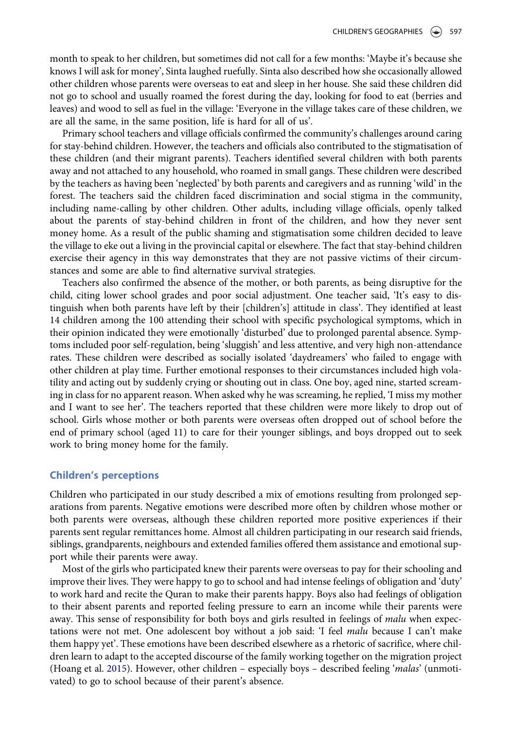month to speak to her children, but sometimes did not call for a few months: 'Maybe it's because she knows I will ask for money', Sinta laughed ruefully. Sinta also described how she occasionally allowed other children whose parents were overseas to eat and sleep in her house. She said these children did not go to school and usually roamed the forest during the day, looking for food to eat (berries and leaves) and wood to sell as fuel in the village: 'Everyone in the village takes care of these children, we are all the same, in the same position, life is hard for all of us'.

Primary school teachers and village officials confirmed the community's challenges around caring for stay-behind children. However, the teachers and officials also contributed to the stigmatisation of these children (and their migrant parents). Teachers identified several children with both parents away and not attached to any household, who roamed in small gangs. These children were described by the teachers as having been 'neglected' by both parents and caregivers and as running 'wild' in the forest. The teachers said the children faced discrimination and social stigma in the community, including name-calling by other children. Other adults, including village officials, openly talked about the parents of stay-behind children in front of the children, and how they never sent money home. As a result of the public shaming and stigmatisation some children decided to leave the village to eke out a living in the provincial capital or elsewhere. The fact that stay-behind children exercise their agency in this way demonstrates that they are not passive victims of their circumstances and some are able to find alternative survival strategies.

Teachers also confirmed the absence of the mother, or both parents, as being disruptive for the child, citing lower school grades and poor social adjustment. One teacher said, 'It's easy to distinguish when both parents have left by their [children's] attitude in class'. They identified at least 14 children among the 100 attending their school with specific psychological symptoms, which in their opinion indicated they were emotionally 'disturbed' due to prolonged parental absence. Symptoms included poor self-regulation, being 'sluggish' and less attentive, and very high non-attendance rates. These children were described as socially isolated 'daydreamers' who failed to engage with other children at play time. Further emotional responses to their circumstances included high volatility and acting out by suddenly crying or shouting out in class. One boy, aged nine, started screaming in class for no apparent reason. When asked why he was screaming, he replied, 'I miss my mother and I want to see her'. The teachers reported that these children were more likely to drop out of school. Girls whose mother or both parents were overseas often dropped out of school before the end of primary school (aged 11) to care for their younger siblings, and boys dropped out to seek work to bring money home for the family.

# Children's perceptions

Children who participated in our study described a mix of emotions resulting from prolonged separations from parents. Negative emotions were described more often by children whose mother or both parents were overseas, although these children reported more positive experiences if their parents sent regular remittances home. Almost all children participating in our research said friends, siblings, grandparents, neighbours and extended families offered them assistance and emotional support while their parents were away.

Most of the girls who participated knew their parents were overseas to pay for their schooling and improve their lives. They were happy to go to school and had intense feelings of obligation and 'duty' to work hard and recite the Quran to make their parents happy. Boys also had feelings of obligation to their absent parents and reported feeling pressure to earn an income while their parents were away. This sense of responsibility for both boys and girls resulted in feelings of *malu* when expectations were not met. One adolescent boy without a job said: 'I feel *malu* because I can't make them happy yet'. These emotions have been described elsewhere as a rhetoric of sacrifice, where children learn to adapt to the accepted discourse of the family working together on the migration project (Hoang et al. [2015](#page-11-0)). However, other children - especially boys - described feeling 'malas' (unmotivated) to go to school because of their parent's absence.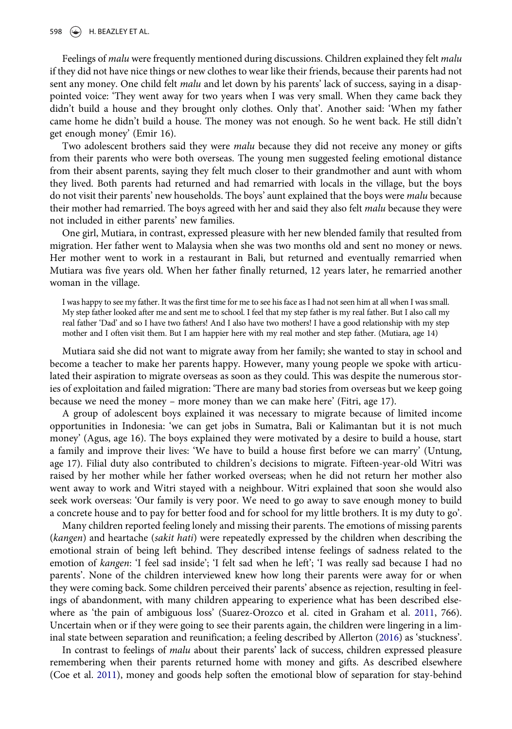<span id="page-7-0"></span>Feelings of malu were frequently mentioned during discussions. Children explained they felt malu if they did not have nice things or new clothes to wear like their friends, because their parents had not sent any money. One child felt *malu* and let down by his parents' lack of success, saying in a disappointed voice: 'They went away for two years when I was very small. When they came back they didn't build a house and they brought only clothes. Only that'. Another said: 'When my father came home he didn't build a house. The money was not enough. So he went back. He still didn't get enough money' (Emir 16).

Two adolescent brothers said they were *malu* because they did not receive any money or gifts from their parents who were both overseas. The young men suggested feeling emotional distance from their absent parents, saying they felt much closer to their grandmother and aunt with whom they lived. Both parents had returned and had remarried with locals in the village, but the boys do not visit their parents' new households. The boys' aunt explained that the boys were *malu* because their mother had remarried. The boys agreed with her and said they also felt *malu* because they were not included in either parents' new families.

One girl, Mutiara, in contrast, expressed pleasure with her new blended family that resulted from migration. Her father went to Malaysia when she was two months old and sent no money or news. Her mother went to work in a restaurant in Bali, but returned and eventually remarried when Mutiara was five years old. When her father finally returned, 12 years later, he remarried another woman in the village.

I was happy to see my father. It was the first time for me to see his face as I had not seen him at all when I was small. My step father looked after me and sent me to school. I feel that my step father is my real father. But I also call my real father 'Dad' and so I have two fathers! And I also have two mothers! I have a good relationship with my step mother and I often visit them. But I am happier here with my real mother and step father. (Mutiara, age 14)

Mutiara said she did not want to migrate away from her family; she wanted to stay in school and become a teacher to make her parents happy. However, many young people we spoke with articulated their aspiration to migrate overseas as soon as they could. This was despite the numerous stories of exploitation and failed migration: 'There are many bad stories from overseas but we keep going because we need the money – more money than we can make here' (Fitri, age 17).

A group of adolescent boys explained it was necessary to migrate because of limited income opportunities in Indonesia: 'we can get jobs in Sumatra, Bali or Kalimantan but it is not much money' (Agus, age 16). The boys explained they were motivated by a desire to build a house, start a family and improve their lives: 'We have to build a house first before we can marry' (Untung, age 17). Filial duty also contributed to children's decisions to migrate. Fifteen-year-old Witri was raised by her mother while her father worked overseas; when he did not return her mother also went away to work and Witri stayed with a neighbour. Witri explained that soon she would also seek work overseas: 'Our family is very poor. We need to go away to save enough money to build a concrete house and to pay for better food and for school for my little brothers. It is my duty to go'.

Many children reported feeling lonely and missing their parents. The emotions of missing parents (kangen) and heartache (sakit hati) were repeatedly expressed by the children when describing the emotional strain of being left behind. They described intense feelings of sadness related to the emotion of kangen: 'I feel sad inside'; 'I felt sad when he left'; 'I was really sad because I had no parents'. None of the children interviewed knew how long their parents were away for or when they were coming back. Some children perceived their parents' absence as rejection, resulting in feelings of abandonment, with many children appearing to experience what has been described elsewhere as 'the pain of ambiguous loss' (Suarez-Orozco et al. cited in Graham et al. [2011,](#page-11-0) 766). Uncertain when or if they were going to see their parents again, the children were lingering in a liminal state between separation and reunification; a feeling described by Allerton [\(2016](#page-11-0)) as 'stuckness'.

In contrast to feelings of malu about their parents' lack of success, children expressed pleasure remembering when their parents returned home with money and gifts. As described elsewhere (Coe et al. [2011\)](#page-11-0), money and goods help soften the emotional blow of separation for stay-behind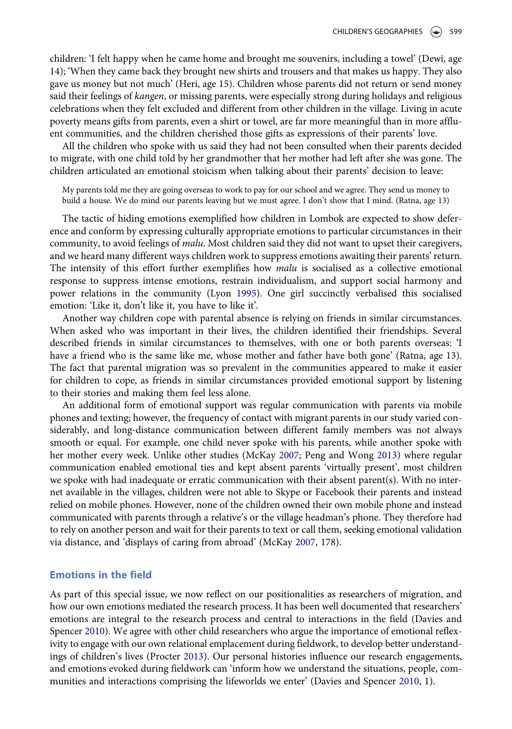<span id="page-8-0"></span>children: 'I felt happy when he came home and brought me souvenirs, including a towel' (Dewi, age 14); 'When they came back they brought new shirts and trousers and that makes us happy. They also gave us money but not much' (Heri, age 15). Children whose parents did not return or send money said their feelings of kangen, or missing parents, were especially strong during holidays and religious celebrations when they felt excluded and different from other children in the village. Living in acute poverty means gifts from parents, even a shirt or towel, are far more meaningful than in more affluent communities, and the children cherished those gifts as expressions of their parents' love.

All the children who spoke with us said they had not been consulted when their parents decided to migrate, with one child told by her grandmother that her mother had left after she was gone. The children articulated an emotional stoicism when talking about their parents' decision to leave:

My parents told me they are going overseas to work to pay for our school and we agree. They send us money to build a house. We do mind our parents leaving but we must agree. I don't show that I mind. (Ratna, age 13)

The tactic of hiding emotions exemplified how children in Lombok are expected to show deference and conform by expressing culturally appropriate emotions to particular circumstances in their community, to avoid feelings of malu. Most children said they did not want to upset their caregivers, and we heard many different ways children work to suppress emotions awaiting their parents' return. The intensity of this effort further exemplifies how *malu* is socialised as a collective emotional response to suppress intense emotions, restrain individualism, and support social harmony and power relations in the community (Lyon [1995](#page-11-0)). One girl succinctly verbalised this socialised emotion: 'Like it, don't like it, you have to like it'.

Another way children cope with parental absence is relying on friends in similar circumstances. When asked who was important in their lives, the children identified their friendships. Several described friends in similar circumstances to themselves, with one or both parents overseas: 'I have a friend who is the same like me, whose mother and father have both gone' (Ratna, age 13). The fact that parental migration was so prevalent in the communities appeared to make it easier for children to cope, as friends in similar circumstances provided emotional support by listening to their stories and making them feel less alone.

An additional form of emotional support was regular communication with parents via mobile phones and texting; however, the frequency of contact with migrant parents in our study varied considerably, and long-distance communication between different family members was not always smooth or equal. For example, one child never spoke with his parents, while another spoke with her mother every week. Unlike other studies (McKay [2007](#page-11-0); Peng and Wong [2013\)](#page-12-0) where regular communication enabled emotional ties and kept absent parents 'virtually present', most children we spoke with had inadequate or erratic communication with their absent parent(s). With no internet available in the villages, children were not able to Skype or Facebook their parents and instead relied on mobile phones. However, none of the children owned their own mobile phone and instead communicated with parents through a relative's or the village headman's phone. They therefore had to rely on another person and wait for their parents to text or call them, seeking emotional validation via distance, and 'displays of caring from abroad' (McKay [2007](#page-11-0), 178).

#### Emotions in the field

As part of this special issue, we now reflect on our positionalities as researchers of migration, and how our own emotions mediated the research process. It has been well documented that researchers' emotions are integral to the research process and central to interactions in the field (Davies and Spencer [2010\)](#page-11-0). We agree with other child researchers who argue the importance of emotional reflexivity to engage with our own relational emplacement during fieldwork, to develop better understandings of children's lives (Procter [2013](#page-12-0)). Our personal histories influence our research engagements, and emotions evoked during fieldwork can 'inform how we understand the situations, people, communities and interactions comprising the lifeworlds we enter' (Davies and Spencer [2010,](#page-11-0) 1).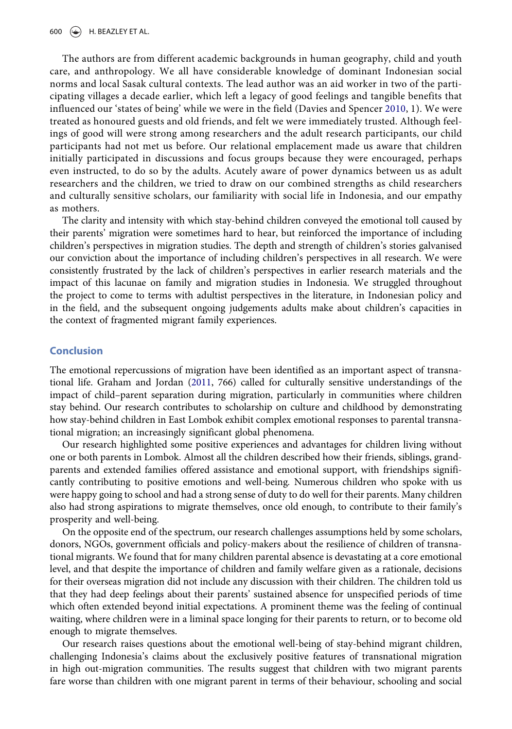The authors are from different academic backgrounds in human geography, child and youth care, and anthropology. We all have considerable knowledge of dominant Indonesian social norms and local Sasak cultural contexts. The lead author was an aid worker in two of the participating villages a decade earlier, which left a legacy of good feelings and tangible benefits that influenced our 'states of being' while we were in the field (Davies and Spencer [2010](#page-11-0), 1). We were treated as honoured guests and old friends, and felt we were immediately trusted. Although feelings of good will were strong among researchers and the adult research participants, our child participants had not met us before. Our relational emplacement made us aware that children initially participated in discussions and focus groups because they were encouraged, perhaps even instructed, to do so by the adults. Acutely aware of power dynamics between us as adult researchers and the children, we tried to draw on our combined strengths as child researchers and culturally sensitive scholars, our familiarity with social life in Indonesia, and our empathy as mothers.

The clarity and intensity with which stay-behind children conveyed the emotional toll caused by their parents' migration were sometimes hard to hear, but reinforced the importance of including children's perspectives in migration studies. The depth and strength of children's stories galvanised our conviction about the importance of including children's perspectives in all research. We were consistently frustrated by the lack of children's perspectives in earlier research materials and the impact of this lacunae on family and migration studies in Indonesia. We struggled throughout the project to come to terms with adultist perspectives in the literature, in Indonesian policy and in the field, and the subsequent ongoing judgements adults make about children's capacities in the context of fragmented migrant family experiences.

# Conclusion

The emotional repercussions of migration have been identified as an important aspect of transnational life. Graham and Jordan [\(2011,](#page-11-0) 766) called for culturally sensitive understandings of the impact of child–parent separation during migration, particularly in communities where children stay behind. Our research contributes to scholarship on culture and childhood by demonstrating how stay-behind children in East Lombok exhibit complex emotional responses to parental transnational migration; an increasingly significant global phenomena.

Our research highlighted some positive experiences and advantages for children living without one or both parents in Lombok. Almost all the children described how their friends, siblings, grandparents and extended families offered assistance and emotional support, with friendships significantly contributing to positive emotions and well-being. Numerous children who spoke with us were happy going to school and had a strong sense of duty to do well for their parents. Many children also had strong aspirations to migrate themselves, once old enough, to contribute to their family's prosperity and well-being.

On the opposite end of the spectrum, our research challenges assumptions held by some scholars, donors, NGOs, government officials and policy-makers about the resilience of children of transnational migrants. We found that for many children parental absence is devastating at a core emotional level, and that despite the importance of children and family welfare given as a rationale, decisions for their overseas migration did not include any discussion with their children. The children told us that they had deep feelings about their parents' sustained absence for unspecified periods of time which often extended beyond initial expectations. A prominent theme was the feeling of continual waiting, where children were in a liminal space longing for their parents to return, or to become old enough to migrate themselves.

Our research raises questions about the emotional well-being of stay-behind migrant children, challenging Indonesia's claims about the exclusively positive features of transnational migration in high out-migration communities. The results suggest that children with two migrant parents fare worse than children with one migrant parent in terms of their behaviour, schooling and social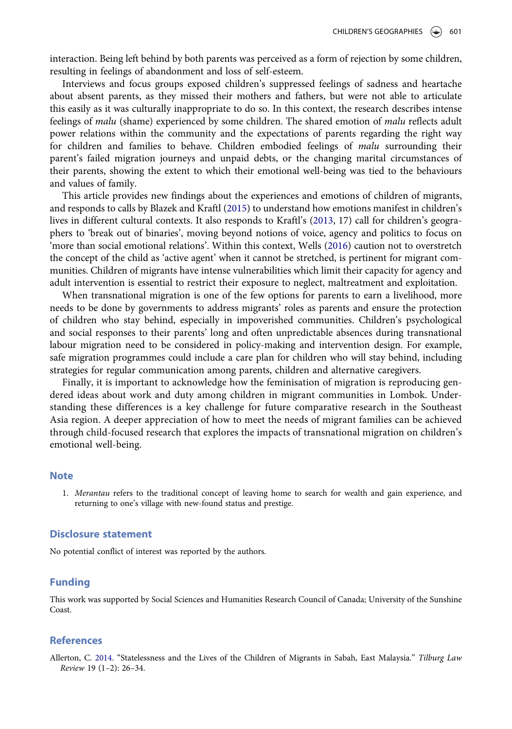<span id="page-10-0"></span>interaction. Being left behind by both parents was perceived as a form of rejection by some children, resulting in feelings of abandonment and loss of self-esteem.

Interviews and focus groups exposed children's suppressed feelings of sadness and heartache about absent parents, as they missed their mothers and fathers, but were not able to articulate this easily as it was culturally inappropriate to do so. In this context, the research describes intense feelings of malu (shame) experienced by some children. The shared emotion of malu reflects adult power relations within the community and the expectations of parents regarding the right way for children and families to behave. Children embodied feelings of malu surrounding their parent's failed migration journeys and unpaid debts, or the changing marital circumstances of their parents, showing the extent to which their emotional well-being was tied to the behaviours and values of family.

This article provides new findings about the experiences and emotions of children of migrants, and responds to calls by Blazek and Kraftl ([2015\)](#page-11-0) to understand how emotions manifest in children's lives in different cultural contexts. It also responds to Kraftl's ([2013](#page-11-0), 17) call for children's geographers to 'break out of binaries', moving beyond notions of voice, agency and politics to focus on 'more than social emotional relations'. Within this context, Wells [\(2016](#page-12-0)) caution not to overstretch the concept of the child as 'active agent' when it cannot be stretched, is pertinent for migrant communities. Children of migrants have intense vulnerabilities which limit their capacity for agency and adult intervention is essential to restrict their exposure to neglect, maltreatment and exploitation.

When transnational migration is one of the few options for parents to earn a livelihood, more needs to be done by governments to address migrants' roles as parents and ensure the protection of children who stay behind, especially in impoverished communities. Children's psychological and social responses to their parents' long and often unpredictable absences during transnational labour migration need to be considered in policy-making and intervention design. For example, safe migration programmes could include a care plan for children who will stay behind, including strategies for regular communication among parents, children and alternative caregivers.

Finally, it is important to acknowledge how the feminisation of migration is reproducing gendered ideas about work and duty among children in migrant communities in Lombok. Understanding these differences is a key challenge for future comparative research in the Southeast Asia region. A deeper appreciation of how to meet the needs of migrant families can be achieved through child-focused research that explores the impacts of transnational migration on children's emotional well-being.

#### **Note**

1. Merantau refers to the traditional concept of leaving home to search for wealth and gain experience, and returning to one's village with new-found status and prestige.

#### Disclosure statement

No potential conflict of interest was reported by the authors.

#### Funding

This work was supported by Social Sciences and Humanities Research Council of Canada; University of the Sunshine Coast.

#### References

Allerton, C. [2014.](#page-2-0) "Statelessness and the Lives of the Children of Migrants in Sabah, East Malaysia." Tilburg Law Review 19 (1–2): 26–34.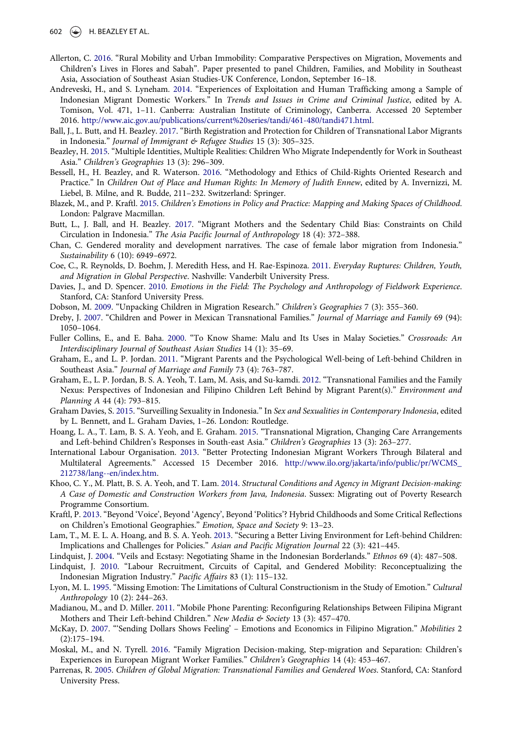<span id="page-11-0"></span>602  $\left(\rightarrow\right)$  H. BEAZLEY ET AL.

- Allerton, C. [2016.](#page-7-0) "Rural Mobility and Urban Immobility: Comparative Perspectives on Migration, Movements and Children's Lives in Flores and Sabah". Paper presented to panel Children, Families, and Mobility in Southeast Asia, Association of Southeast Asian Studies-UK Conference, London, September 16–18.
- Andreveski, H., and S. Lyneham. [2014](#page-1-0). "Experiences of Exploitation and Human Trafficking among a Sample of Indonesian Migrant Domestic Workers." In Trends and Issues in Crime and Criminal Justice, edited by A. Tomison, Vol. 471, 1–11. Canberra: Australian Institute of Criminology, Canberra. Accessed 20 September 2016. <http://www.aic.gov.au/publications/current%20series/tandi/461-480/tandi471.html>.
- Ball, J., L. Butt, and H. Beazley. [2017.](#page-0-0) "Birth Registration and Protection for Children of Transnational Labor Migrants in Indonesia." Journal of Immigrant & Refugee Studies 15 (3): 305-325.
- Beazley, H. [2015.](#page-1-0) "Multiple Identities, Multiple Realities: Children Who Migrate Independently for Work in Southeast Asia." Children's Geographies 13 (3): 296–309.
- Bessell, H., H. Beazley, and R. Waterson. [2016.](#page-4-0) "Methodology and Ethics of Child-Rights Oriented Research and Practice." In Children Out of Place and Human Rights: In Memory of Judith Ennew, edited by A. Invernizzi, M. Liebel, B. Milne, and R. Budde, 211–232. Switzerland: Springer.
- Blazek, M., and P. Kraftl. [2015](#page-0-0). Children's Emotions in Policy and Practice: Mapping and Making Spaces of Childhood. London: Palgrave Macmillan.
- Butt, L., J. Ball, and H. Beazley. [2017.](#page-2-0) "Migrant Mothers and the Sedentary Child Bias: Constraints on Child Circulation in Indonesia." The Asia Pacific Journal of Anthropology 18 (4): 372–388.
- Chan, C. Gendered morality and development narratives. The case of female labor migration from Indonesia." Sustainability 6 (10): 6949–6972.
- Coe, C., R. Reynolds, D. Boehm, J. Meredith Hess, and H. Rae-Espinoza. [2011.](#page-1-0) Everyday Ruptures: Children, Youth, and Migration in Global Perspective. Nashville: Vanderbilt University Press.
- Davies, J., and D. Spencer. [2010](#page-1-0). Emotions in the Field: The Psychology and Anthropology of Fieldwork Experience. Stanford, CA: Stanford University Press.
- Dobson, M. [2009](#page-1-0). "Unpacking Children in Migration Research." Children's Geographies 7 (3): 355–360.
- Dreby, J. [2007](#page-1-0). "Children and Power in Mexican Transnational Families." Journal of Marriage and Family 69 (94): 1050–1064.
- Fuller Collins, E., and E. Baha. [2000.](#page-3-0) "To Know Shame: Malu and Its Uses in Malay Societies." Crossroads: An Interdisciplinary Journal of Southeast Asian Studies 14 (1): 35–69.
- Graham, E., and L. P. Jordan. [2011.](#page-2-0) "Migrant Parents and the Psychological Well-being of Left-behind Children in Southeast Asia." Journal of Marriage and Family 73 (4): 763–787.
- Graham, E., L. P. Jordan, B. S. A. Yeoh, T. Lam, M. Asis, and Su-kamdi. [2012.](#page-1-0) "Transnational Families and the Family Nexus: Perspectives of Indonesian and Filipino Children Left Behind by Migrant Parent(s)." Environment and Planning A 44 (4): 793–815.
- Graham Davies, S. [2015](#page-1-0). "Surveilling Sexuality in Indonesia." In Sex and Sexualities in Contemporary Indonesia, edited by L. Bennett, and L. Graham Davies, 1–26. London: Routledge.
- Hoang, L. A., T. Lam, B. S. A. Yeoh, and E. Graham. [2015](#page-1-0). "Transnational Migration, Changing Care Arrangements and Left-behind Children's Responses in South-east Asia." Children's Geographies 13 (3): 263–277.
- International Labour Organisation. [2013](#page-1-0). "Better Protecting Indonesian Migrant Workers Through Bilateral and Multilateral Agreements." Accessed 15 December 2016. [http://www.ilo.org/jakarta/info/public/pr/WCMS\\_](http://www.ilo.org/jakarta/info/public/pr/WCMS_212738/lang--en/index.htm) [212738/lang--en/index.htm](http://www.ilo.org/jakarta/info/public/pr/WCMS_212738/lang--en/index.htm).
- Khoo, C. Y., M. Platt, B. S. A. Yeoh, and T. Lam. [2014](#page-4-0). Structural Conditions and Agency in Migrant Decision-making: A Case of Domestic and Construction Workers from Java, Indonesia. Sussex: Migrating out of Poverty Research Programme Consortium.
- Kraftl, P. [2013](#page-2-0). "Beyond 'Voice', Beyond 'Agency', Beyond 'Politics'? Hybrid Childhoods and Some Critical Reflections on Children's Emotional Geographies." Emotion, Space and Society 9: 13–23.
- Lam, T., M. E. L. A. Hoang, and B. S. A. Yeoh. [2013](#page-1-0). "Securing a Better Living Environment for Left-behind Children: Implications and Challenges for Policies." Asian and Pacific Migration Journal 22 (3): 421–445.
- Lindquist, J. [2004](#page-1-0). "Veils and Ecstasy: Negotiating Shame in the Indonesian Borderlands." Ethnos 69 (4): 487–508.
- Lindquist, J. [2010](#page-4-0). "Labour Recruitment, Circuits of Capital, and Gendered Mobility: Reconceptualizing the Indonesian Migration Industry." Pacific Affairs 83 (1): 115–132.
- Lyon, M. L. [1995](#page-3-0). "Missing Emotion: The Limitations of Cultural Constructionism in the Study of Emotion." Cultural Anthropology 10 (2): 244–263.
- Madianou, M., and D. Miller. [2011](#page-1-0). "Mobile Phone Parenting: Reconfiguring Relationships Between Filipina Migrant Mothers and Their Left-behind Children." New Media & Society 13 (3): 457-470.
- McKay, D. [2007](#page-2-0). "'Sending Dollars Shows Feeling' Emotions and Economics in Filipino Migration." Mobilities 2 (2):175–194.
- Moskal, M., and N. Tyrell. [2016](#page-1-0). "Family Migration Decision-making, Step-migration and Separation: Children's Experiences in European Migrant Worker Families." Children's Geographies 14 (4): 453–467.
- Parrenas, R. [2005.](#page-1-0) Children of Global Migration: Transnational Families and Gendered Woes. Stanford, CA: Stanford University Press.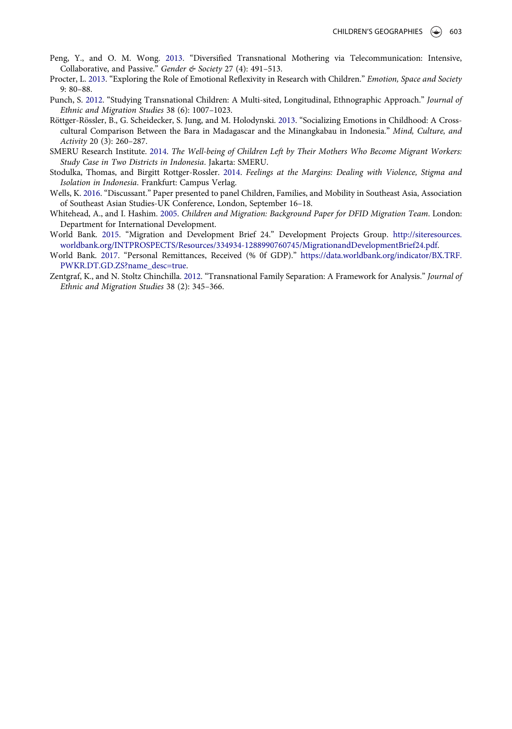- <span id="page-12-0"></span>Peng, Y., and O. M. Wong. [2013.](#page-8-0) "Diversified Transnational Mothering via Telecommunication: Intensive, Collaborative, and Passive." Gender & Society 27 (4): 491-513.
- Procter, L. [2013.](#page-8-0) "Exploring the Role of Emotional Reflexivity in Research with Children." Emotion, Space and Society 9: 80–88.
- Punch, S. [2012.](#page-1-0) "Studying Transnational Children: A Multi-sited, Longitudinal, Ethnographic Approach." Journal of Ethnic and Migration Studies 38 (6): 1007–1023.
- Röttger-Rössler, B., G. Scheidecker, S. Jung, and M. Holodynski. [2013](#page-1-0). "Socializing Emotions in Childhood: A Crosscultural Comparison Between the Bara in Madagascar and the Minangkabau in Indonesia." Mind, Culture, and Activity 20 (3): 260–287.
- SMERU Research Institute. [2014.](#page-0-0) The Well-being of Children Left by Their Mothers Who Become Migrant Workers: Study Case in Two Districts in Indonesia. Jakarta: SMERU.
- Stodulka, Thomas, and Birgitt Rottger-Rossler. [2014.](#page-3-0) Feelings at the Margins: Dealing with Violence, Stigma and Isolation in Indonesia. Frankfurt: Campus Verlag.
- Wells, K. [2016.](#page-10-0) "Discussant." Paper presented to panel Children, Families, and Mobility in Southeast Asia, Association of Southeast Asian Studies-UK Conference, London, September 16–18.
- Whitehead, A., and I. Hashim. [2005.](#page-3-0) Children and Migration: Background Paper for DFID Migration Team. London: Department for International Development.
- World Bank. [2015.](#page-1-0) "Migration and Development Brief 24." Development Projects Group. [http://siteresources.](http://siteresources.worldbank.org/INTPROSPECTS/Resources/334934-1288990760745/MigrationandDevelopmentBrief24.pdf) [worldbank.org/INTPROSPECTS/Resources/334934-1288990760745/MigrationandDevelopmentBrief24.pdf.](http://siteresources.worldbank.org/INTPROSPECTS/Resources/334934-1288990760745/MigrationandDevelopmentBrief24.pdf)
- World Bank. [2017.](#page-2-0) "Personal Remittances, Received (% 0f GDP)." [https://data.worldbank.org/indicator/BX.TRF.](https://data.worldbank.org/indicator/BX.TRF.PWKR.DT.GD.ZS?name_desc=true) [PWKR.DT.GD.ZS?name\\_desc=true](https://data.worldbank.org/indicator/BX.TRF.PWKR.DT.GD.ZS?name_desc=true).
- Zentgraf, K., and N. Stoltz Chinchilla. [2012](#page-1-0). "Transnational Family Separation: A Framework for Analysis." Journal of Ethnic and Migration Studies 38 (2): 345–366.